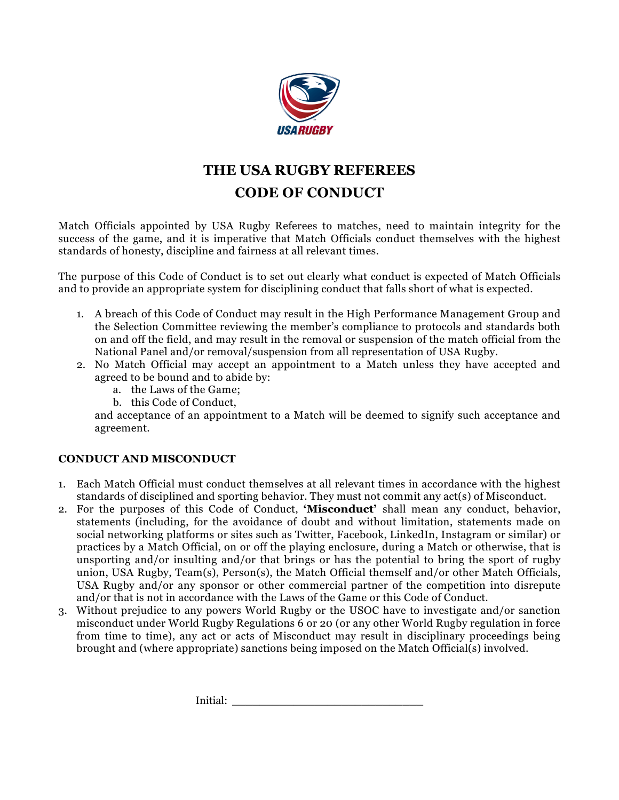

## **THE USA RUGBY REFEREES CODE OF CONDUCT**

Match Officials appointed by USA Rugby Referees to matches, need to maintain integrity for the success of the game, and it is imperative that Match Officials conduct themselves with the highest standards of honesty, discipline and fairness at all relevant times.

The purpose of this Code of Conduct is to set out clearly what conduct is expected of Match Officials and to provide an appropriate system for disciplining conduct that falls short of what is expected.

- 1. A breach of this Code of Conduct may result in the High Performance Management Group and the Selection Committee reviewing the member's compliance to protocols and standards both on and off the field, and may result in the removal or suspension of the match official from the National Panel and/or removal/suspension from all representation of USA Rugby.
- 2. No Match Official may accept an appointment to a Match unless they have accepted and agreed to be bound and to abide by:
	- a. the Laws of the Game;
	- b. this Code of Conduct,

and acceptance of an appointment to a Match will be deemed to signify such acceptance and agreement.

## **CONDUCT AND MISCONDUCT**

- 1. Each Match Official must conduct themselves at all relevant times in accordance with the highest standards of disciplined and sporting behavior. They must not commit any act(s) of Misconduct.
- 2. For the purposes of this Code of Conduct, **'Misconduct'** shall mean any conduct, behavior, statements (including, for the avoidance of doubt and without limitation, statements made on social networking platforms or sites such as Twitter, Facebook, LinkedIn, Instagram or similar) or practices by a Match Official, on or off the playing enclosure, during a Match or otherwise, that is unsporting and/or insulting and/or that brings or has the potential to bring the sport of rugby union, USA Rugby, Team(s), Person(s), the Match Official themself and/or other Match Officials, USA Rugby and/or any sponsor or other commercial partner of the competition into disrepute and/or that is not in accordance with the Laws of the Game or this Code of Conduct.
- 3. Without prejudice to any powers World Rugby or the USOC have to investigate and/or sanction misconduct under World Rugby Regulations 6 or 20 (or any other World Rugby regulation in force from time to time), any act or acts of Misconduct may result in disciplinary proceedings being brought and (where appropriate) sanctions being imposed on the Match Official(s) involved.

Initial: